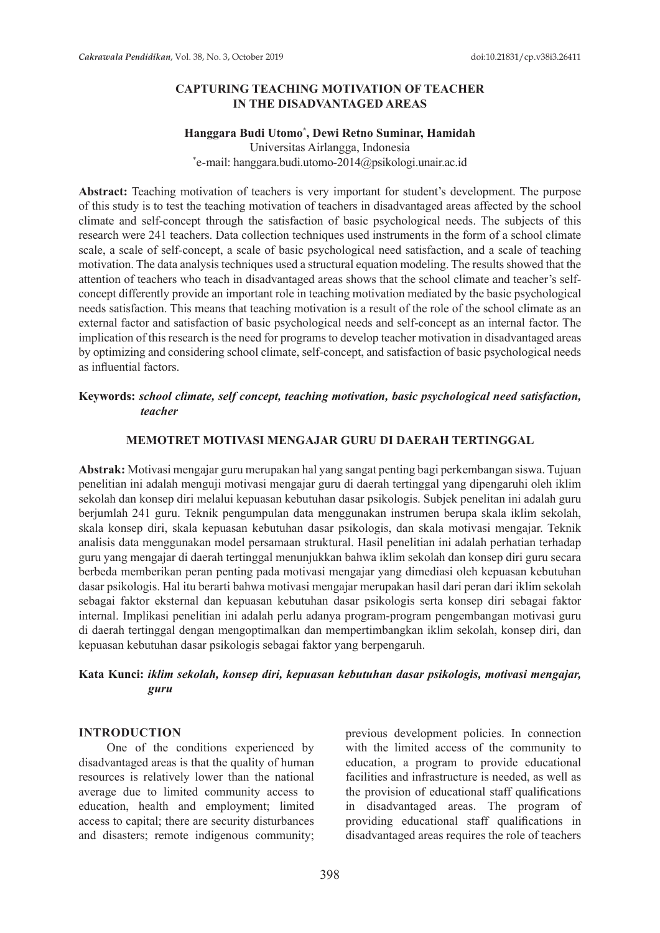### **CAPTURING TEACHING MOTIVATION OF TEACHER IN THE DISADVANTAGED AREAS**

#### **Hanggara Budi Utomo\* , Dewi Retno Suminar, Hamidah**

Universitas Airlangga, Indonesia \* e-mail: hanggara.budi.utomo-2014@psikologi.unair.ac.id

**Abstract:** Teaching motivation of teachers is very important for student's development. The purpose of this study is to test the teaching motivation of teachers in disadvantaged areas affected by the school climate and self-concept through the satisfaction of basic psychological needs. The subjects of this research were 241 teachers. Data collection techniques used instruments in the form of a school climate scale, a scale of self-concept, a scale of basic psychological need satisfaction, and a scale of teaching motivation. The data analysis techniques used a structural equation modeling. The results showed that the attention of teachers who teach in disadvantaged areas shows that the school climate and teacher's selfconcept differently provide an important role in teaching motivation mediated by the basic psychological needs satisfaction. This means that teaching motivation is a result of the role of the school climate as an external factor and satisfaction of basic psychological needs and self-concept as an internal factor. The implication of this research is the need for programs to develop teacher motivation in disadvantaged areas by optimizing and considering school climate, self-concept, and satisfaction of basic psychological needs as influential factors.

### **Keywords:** *school climate, self concept, teaching motivation, basic psychological need satisfaction, teacher*

### **MEMOTRET MOTIVASI MENGAJAR GURU DI DAERAH TERTINGGAL**

**Abstrak:** Motivasi mengajar guru merupakan hal yang sangat penting bagi perkembangan siswa. Tujuan penelitian ini adalah menguji motivasi mengajar guru di daerah tertinggal yang dipengaruhi oleh iklim sekolah dan konsep diri melalui kepuasan kebutuhan dasar psikologis. Subjek penelitan ini adalah guru berjumlah 241 guru. Teknik pengumpulan data menggunakan instrumen berupa skala iklim sekolah, skala konsep diri, skala kepuasan kebutuhan dasar psikologis, dan skala motivasi mengajar. Teknik analisis data menggunakan model persamaan struktural. Hasil penelitian ini adalah perhatian terhadap guru yang mengajar di daerah tertinggal menunjukkan bahwa iklim sekolah dan konsep diri guru secara berbeda memberikan peran penting pada motivasi mengajar yang dimediasi oleh kepuasan kebutuhan dasar psikologis. Hal itu berarti bahwa motivasi mengajar merupakan hasil dari peran dari iklim sekolah sebagai faktor eksternal dan kepuasan kebutuhan dasar psikologis serta konsep diri sebagai faktor internal. Implikasi penelitian ini adalah perlu adanya program-program pengembangan motivasi guru di daerah tertinggal dengan mengoptimalkan dan mempertimbangkan iklim sekolah, konsep diri, dan kepuasan kebutuhan dasar psikologis sebagai faktor yang berpengaruh.

### **Kata Kunci:** *iklim sekolah, konsep diri, kepuasan kebutuhan dasar psikologis, motivasi mengajar, guru*

#### **INTRODUCTION**

One of the conditions experienced by disadvantaged areas is that the quality of human resources is relatively lower than the national average due to limited community access to education, health and employment; limited access to capital; there are security disturbances and disasters; remote indigenous community; previous development policies. In connection with the limited access of the community to education, a program to provide educational facilities and infrastructure is needed, as well as the provision of educational staff qualifications in disadvantaged areas. The program of providing educational staff qualifications in disadvantaged areas requires the role of teachers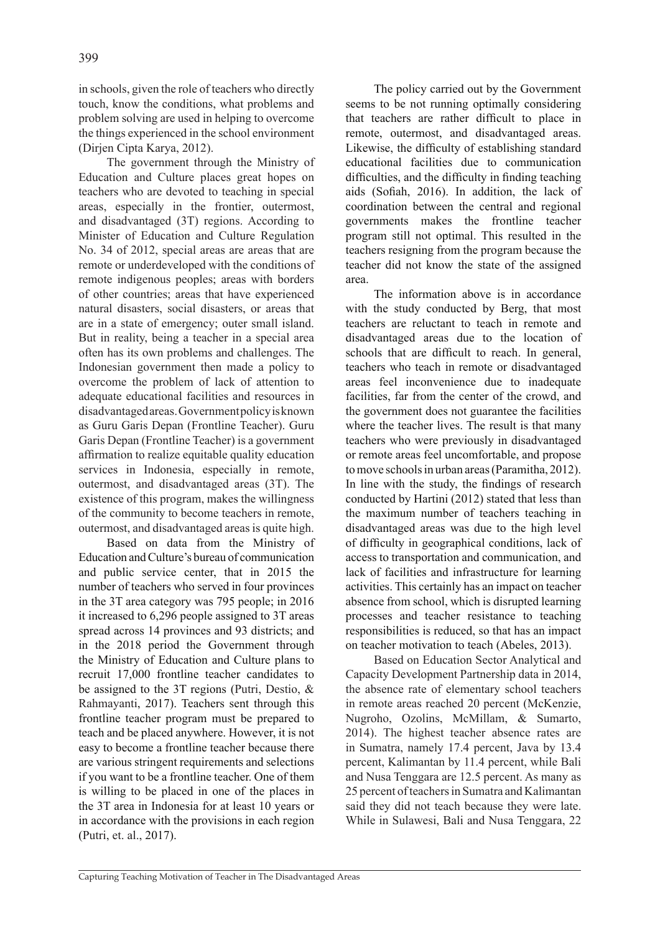in schools, given the role of teachers who directly touch, know the conditions, what problems and problem solving are used in helping to overcome the things experienced in the school environment (Dirjen Cipta Karya, 2012).

The government through the Ministry of Education and Culture places great hopes on teachers who are devoted to teaching in special areas, especially in the frontier, outermost, and disadvantaged (3T) regions. According to Minister of Education and Culture Regulation No. 34 of 2012, special areas are areas that are remote or underdeveloped with the conditions of remote indigenous peoples; areas with borders of other countries; areas that have experienced natural disasters, social disasters, or areas that are in a state of emergency; outer small island. But in reality, being a teacher in a special area often has its own problems and challenges. The Indonesian government then made a policy to overcome the problem of lack of attention to adequate educational facilities and resources in disadvantaged areas. Government policy is known as Guru Garis Depan (Frontline Teacher). Guru Garis Depan (Frontline Teacher) is a government affirmation to realize equitable quality education services in Indonesia, especially in remote, outermost, and disadvantaged areas (3T). The existence of this program, makes the willingness of the community to become teachers in remote, outermost, and disadvantaged areas is quite high.

Based on data from the Ministry of Education and Culture's bureau of communication and public service center, that in 2015 the number of teachers who served in four provinces in the 3T area category was 795 people; in 2016 it increased to 6,296 people assigned to 3T areas spread across 14 provinces and 93 districts; and in the 2018 period the Government through the Ministry of Education and Culture plans to recruit 17,000 frontline teacher candidates to be assigned to the 3T regions (Putri, Destio, & Rahmayanti, 2017). Teachers sent through this frontline teacher program must be prepared to teach and be placed anywhere. However, it is not easy to become a frontline teacher because there are various stringent requirements and selections if you want to be a frontline teacher. One of them is willing to be placed in one of the places in the 3T area in Indonesia for at least 10 years or in accordance with the provisions in each region (Putri, et. al., 2017).

The policy carried out by the Government seems to be not running optimally considering that teachers are rather difficult to place in remote, outermost, and disadvantaged areas. Likewise, the difficulty of establishing standard educational facilities due to communication difficulties, and the difficulty in finding teaching aids (Sofiah, 2016). In addition, the lack of coordination between the central and regional governments makes the frontline teacher program still not optimal. This resulted in the teachers resigning from the program because the teacher did not know the state of the assigned area.

The information above is in accordance with the study conducted by Berg, that most teachers are reluctant to teach in remote and disadvantaged areas due to the location of schools that are difficult to reach. In general, teachers who teach in remote or disadvantaged areas feel inconvenience due to inadequate facilities, far from the center of the crowd, and the government does not guarantee the facilities where the teacher lives. The result is that many teachers who were previously in disadvantaged or remote areas feel uncomfortable, and propose to move schools in urban areas (Paramitha, 2012). In line with the study, the findings of research conducted by Hartini (2012) stated that less than the maximum number of teachers teaching in disadvantaged areas was due to the high level of difficulty in geographical conditions, lack of access to transportation and communication, and lack of facilities and infrastructure for learning activities. This certainly has an impact on teacher absence from school, which is disrupted learning processes and teacher resistance to teaching responsibilities is reduced, so that has an impact on teacher motivation to teach (Abeles, 2013).

Based on Education Sector Analytical and Capacity Development Partnership data in 2014, the absence rate of elementary school teachers in remote areas reached 20 percent (McKenzie, Nugroho, Ozolins, McMillam, & Sumarto, 2014). The highest teacher absence rates are in Sumatra, namely 17.4 percent, Java by 13.4 percent, Kalimantan by 11.4 percent, while Bali and Nusa Tenggara are 12.5 percent. As many as 25 percent of teachers in Sumatra and Kalimantan said they did not teach because they were late. While in Sulawesi, Bali and Nusa Tenggara, 22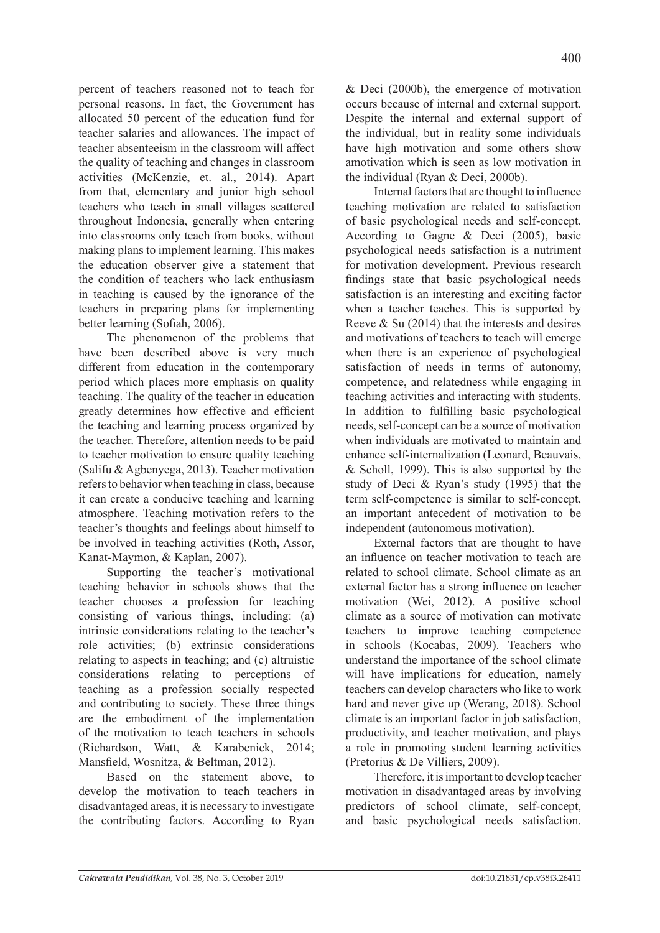percent of teachers reasoned not to teach for personal reasons. In fact, the Government has allocated 50 percent of the education fund for teacher salaries and allowances. The impact of teacher absenteeism in the classroom will affect the quality of teaching and changes in classroom activities (McKenzie, et. al., 2014). Apart from that, elementary and junior high school teachers who teach in small villages scattered throughout Indonesia, generally when entering into classrooms only teach from books, without making plans to implement learning. This makes the education observer give a statement that the condition of teachers who lack enthusiasm in teaching is caused by the ignorance of the teachers in preparing plans for implementing better learning (Sofiah, 2006).

The phenomenon of the problems that have been described above is very much different from education in the contemporary period which places more emphasis on quality teaching. The quality of the teacher in education greatly determines how effective and efficient the teaching and learning process organized by the teacher. Therefore, attention needs to be paid to teacher motivation to ensure quality teaching (Salifu & Agbenyega, 2013). Teacher motivation refers to behavior when teaching in class, because it can create a conducive teaching and learning atmosphere. Teaching motivation refers to the teacher's thoughts and feelings about himself to be involved in teaching activities (Roth, Assor, Kanat-Maymon, & Kaplan, 2007).

Supporting the teacher's motivational teaching behavior in schools shows that the teacher chooses a profession for teaching consisting of various things, including: (a) intrinsic considerations relating to the teacher's role activities; (b) extrinsic considerations relating to aspects in teaching; and (c) altruistic considerations relating to perceptions of teaching as a profession socially respected and contributing to society. These three things are the embodiment of the implementation of the motivation to teach teachers in schools (Richardson, Watt, & Karabenick, 2014; Mansfield, Wosnitza, & Beltman, 2012).

Based on the statement above, to develop the motivation to teach teachers in disadvantaged areas, it is necessary to investigate the contributing factors. According to Ryan & Deci (2000b), the emergence of motivation occurs because of internal and external support. Despite the internal and external support of the individual, but in reality some individuals have high motivation and some others show amotivation which is seen as low motivation in the individual (Ryan & Deci, 2000b).

Internal factors that are thought to influence teaching motivation are related to satisfaction of basic psychological needs and self-concept. According to Gagne & Deci (2005), basic psychological needs satisfaction is a nutriment for motivation development. Previous research findings state that basic psychological needs satisfaction is an interesting and exciting factor when a teacher teaches. This is supported by Reeve & Su (2014) that the interests and desires and motivations of teachers to teach will emerge when there is an experience of psychological satisfaction of needs in terms of autonomy, competence, and relatedness while engaging in teaching activities and interacting with students. In addition to fulfilling basic psychological needs, self-concept can be a source of motivation when individuals are motivated to maintain and enhance self-internalization (Leonard, Beauvais, & Scholl, 1999). This is also supported by the study of Deci & Ryan's study (1995) that the term self-competence is similar to self-concept, an important antecedent of motivation to be independent (autonomous motivation).

External factors that are thought to have an influence on teacher motivation to teach are related to school climate. School climate as an external factor has a strong influence on teacher motivation (Wei, 2012). A positive school climate as a source of motivation can motivate teachers to improve teaching competence in schools (Kocabas, 2009). Teachers who understand the importance of the school climate will have implications for education, namely teachers can develop characters who like to work hard and never give up (Werang, 2018). School climate is an important factor in job satisfaction, productivity, and teacher motivation, and plays a role in promoting student learning activities (Pretorius & De Villiers, 2009).

Therefore, it is important to develop teacher motivation in disadvantaged areas by involving predictors of school climate, self-concept, and basic psychological needs satisfaction.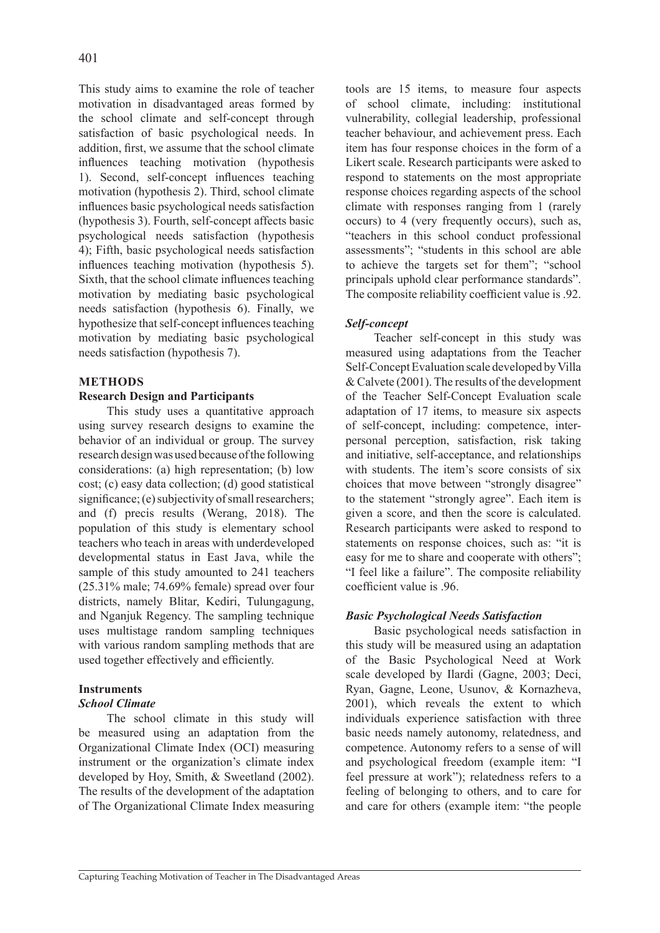This study aims to examine the role of teacher motivation in disadvantaged areas formed by the school climate and self-concept through satisfaction of basic psychological needs. In addition, first, we assume that the school climate influences teaching motivation (hypothesis 1). Second, self-concept influences teaching motivation (hypothesis 2). Third, school climate influences basic psychological needs satisfaction (hypothesis 3). Fourth, self-concept affects basic psychological needs satisfaction (hypothesis 4); Fifth, basic psychological needs satisfaction influences teaching motivation (hypothesis 5). Sixth, that the school climate influences teaching motivation by mediating basic psychological needs satisfaction (hypothesis 6). Finally, we hypothesize that self-concept influences teaching motivation by mediating basic psychological needs satisfaction (hypothesis 7).

### **METHODS**

# **Research Design and Participants**

This study uses a quantitative approach using survey research designs to examine the behavior of an individual or group. The survey research design was used because of the following considerations: (a) high representation; (b) low cost; (c) easy data collection; (d) good statistical significance; (e) subjectivity of small researchers; and (f) precis results (Werang, 2018). The population of this study is elementary school teachers who teach in areas with underdeveloped developmental status in East Java, while the sample of this study amounted to 241 teachers (25.31% male; 74.69% female) spread over four districts, namely Blitar, Kediri, Tulungagung, and Nganjuk Regency. The sampling technique uses multistage random sampling techniques with various random sampling methods that are used together effectively and efficiently.

# **Instruments**

### *School Climate*

The school climate in this study will be measured using an adaptation from the Organizational Climate Index (OCI) measuring instrument or the organization's climate index developed by Hoy, Smith, & Sweetland (2002). The results of the development of the adaptation of The Organizational Climate Index measuring tools are 15 items, to measure four aspects of school climate, including: institutional vulnerability, collegial leadership, professional teacher behaviour, and achievement press. Each item has four response choices in the form of a Likert scale. Research participants were asked to respond to statements on the most appropriate response choices regarding aspects of the school climate with responses ranging from 1 (rarely occurs) to 4 (very frequently occurs), such as, "teachers in this school conduct professional assessments"; "students in this school are able to achieve the targets set for them"; "school principals uphold clear performance standards". The composite reliability coefficient value is .92.

# *Self-concept*

Teacher self-concept in this study was measured using adaptations from the Teacher Self-Concept Evaluation scale developed by Villa & Calvete (2001). The results of the development of the Teacher Self-Concept Evaluation scale adaptation of 17 items, to measure six aspects of self-concept, including: competence, interpersonal perception, satisfaction, risk taking and initiative, self-acceptance, and relationships with students. The item's score consists of six choices that move between "strongly disagree" to the statement "strongly agree". Each item is given a score, and then the score is calculated. Research participants were asked to respond to statements on response choices, such as: "it is easy for me to share and cooperate with others"; "I feel like a failure". The composite reliability coefficient value is .96.

# *Basic Psychological Needs Satisfaction*

Basic psychological needs satisfaction in this study will be measured using an adaptation of the Basic Psychological Need at Work scale developed by Ilardi (Gagne, 2003; Deci, Ryan, Gagne, Leone, Usunov, & Kornazheva, 2001), which reveals the extent to which individuals experience satisfaction with three basic needs namely autonomy, relatedness, and competence. Autonomy refers to a sense of will and psychological freedom (example item: "I feel pressure at work"); relatedness refers to a feeling of belonging to others, and to care for and care for others (example item: "the people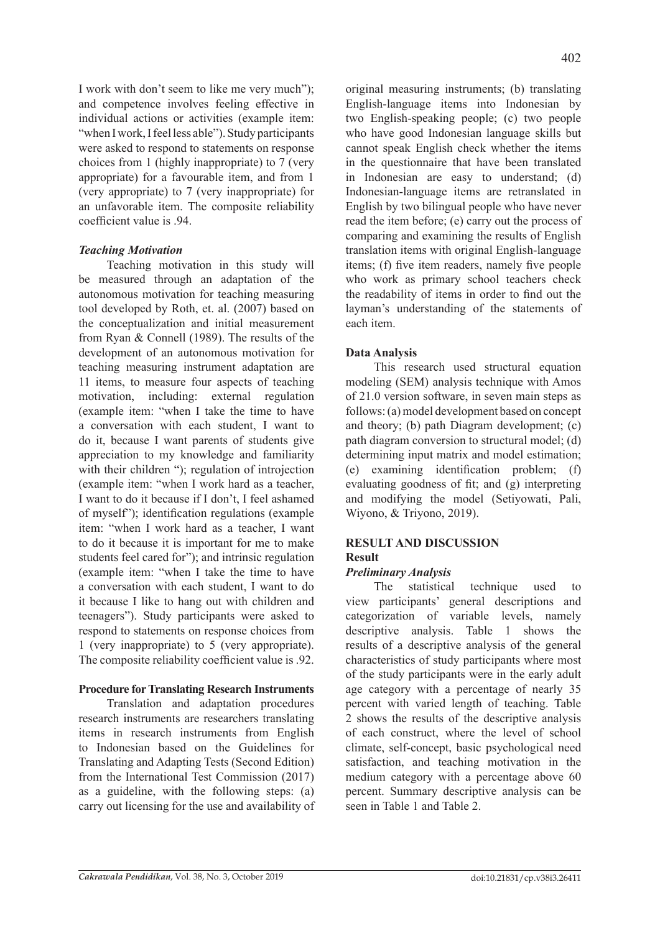I work with don't seem to like me very much"); and competence involves feeling effective in individual actions or activities (example item: "when I work, I feel less able"). Study participants were asked to respond to statements on response choices from 1 (highly inappropriate) to 7 (very appropriate) for a favourable item, and from 1 (very appropriate) to 7 (very inappropriate) for an unfavorable item. The composite reliability coefficient value is .94.

# *Teaching Motivation*

Teaching motivation in this study will be measured through an adaptation of the autonomous motivation for teaching measuring tool developed by Roth, et. al. (2007) based on the conceptualization and initial measurement from Ryan & Connell (1989). The results of the development of an autonomous motivation for teaching measuring instrument adaptation are 11 items, to measure four aspects of teaching motivation, including: external regulation (example item: "when I take the time to have a conversation with each student, I want to do it, because I want parents of students give appreciation to my knowledge and familiarity with their children "); regulation of introjection (example item: "when I work hard as a teacher, I want to do it because if I don't, I feel ashamed of myself"); identification regulations (example item: "when I work hard as a teacher, I want to do it because it is important for me to make students feel cared for"); and intrinsic regulation (example item: "when I take the time to have a conversation with each student, I want to do it because I like to hang out with children and teenagers"). Study participants were asked to respond to statements on response choices from 1 (very inappropriate) to 5 (very appropriate). The composite reliability coefficient value is .92.

# **Procedure for Translating Research Instruments**

Translation and adaptation procedures research instruments are researchers translating items in research instruments from English to Indonesian based on the Guidelines for Translating and Adapting Tests (Second Edition) from the International Test Commission (2017) as a guideline, with the following steps: (a) carry out licensing for the use and availability of original measuring instruments; (b) translating English-language items into Indonesian by two English-speaking people; (c) two people who have good Indonesian language skills but cannot speak English check whether the items in the questionnaire that have been translated in Indonesian are easy to understand; (d) Indonesian-language items are retranslated in English by two bilingual people who have never read the item before; (e) carry out the process of comparing and examining the results of English translation items with original English-language items; (f) five item readers, namely five people who work as primary school teachers check the readability of items in order to find out the layman's understanding of the statements of each item.

# **Data Analysis**

This research used structural equation modeling (SEM) analysis technique with Amos of 21.0 version software, in seven main steps as follows: (a) model development based on concept and theory; (b) path Diagram development; (c) path diagram conversion to structural model; (d) determining input matrix and model estimation; (e) examining identification problem; (f) evaluating goodness of fit; and (g) interpreting and modifying the model (Setiyowati, Pali, Wiyono, & Triyono, 2019).

#### **RESULT AND DISCUSSION Result**

# *Preliminary Analysis*

The statistical technique used to view participants' general descriptions and categorization of variable levels, namely descriptive analysis. Table 1 shows the results of a descriptive analysis of the general characteristics of study participants where most of the study participants were in the early adult age category with a percentage of nearly 35 percent with varied length of teaching. Table 2 shows the results of the descriptive analysis of each construct, where the level of school climate, self-concept, basic psychological need satisfaction, and teaching motivation in the medium category with a percentage above 60 percent. Summary descriptive analysis can be seen in Table 1 and Table 2.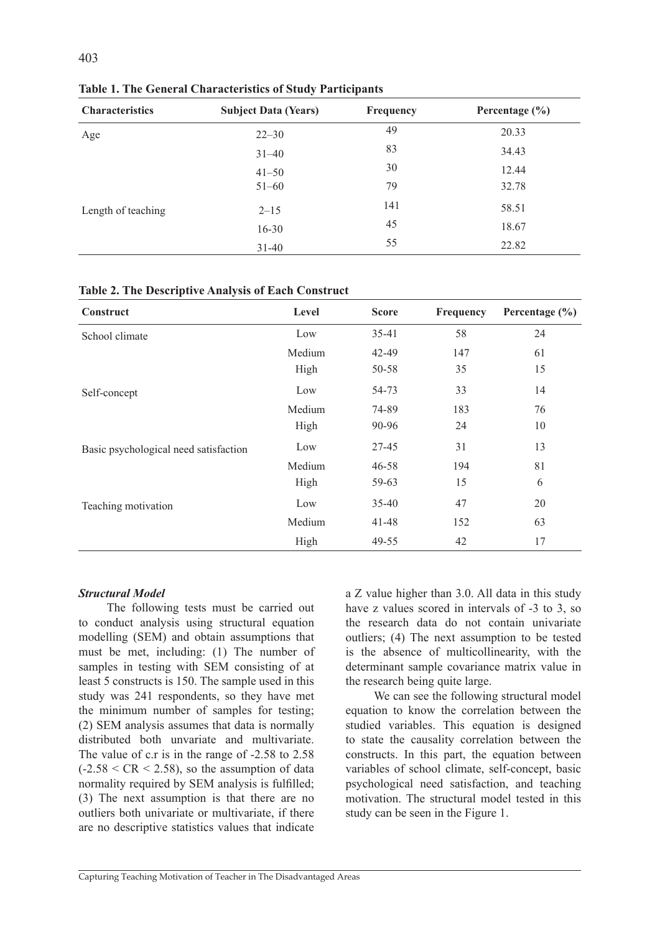| <b>Characteristics</b> | <b>Subject Data (Years)</b> | Frequency | Percentage $(\% )$ |
|------------------------|-----------------------------|-----------|--------------------|
| Age                    | $22 - 30$                   | 49        | 20.33              |
|                        | $31 - 40$                   | 83        | 34.43              |
|                        | $41 - 50$                   | 30        | 12.44              |
| Length of teaching     | $51 - 60$                   | 79        | 32.78              |
|                        | $2 - 15$                    | 141       | 58.51              |
|                        | $16 - 30$                   | 45        | 18.67              |
|                        | $31 - 40$                   | 55        | 22.82              |

**Table 1. The General Characteristics of Study Participants** 

| Construct                             | Level  | <b>Score</b> | Frequency | Percentage $(\% )$ |
|---------------------------------------|--------|--------------|-----------|--------------------|
| School climate                        | Low    | $35-41$      | 58        | 24                 |
|                                       | Medium | 42-49        | 147       | 61                 |
|                                       | High   | 50-58        | 35        | 15                 |
| Self-concept                          | Low    | 54-73        | 33        | 14                 |
|                                       | Medium | 74-89        | 183       | 76                 |
|                                       | High   | 90-96        | 24        | 10                 |
| Basic psychological need satisfaction | Low    | 27-45        | 31        | 13                 |
|                                       | Medium | $46 - 58$    | 194       | 81                 |
|                                       | High   | 59-63        | 15        | 6                  |
| Teaching motivation                   | Low    | $35 - 40$    | 47        | 20                 |
|                                       | Medium | $41 - 48$    | 152       | 63                 |
|                                       | High   | 49-55        | 42        | 17                 |

### *Structural Model*

The following tests must be carried out to conduct analysis using structural equation modelling (SEM) and obtain assumptions that must be met, including: (1) The number of samples in testing with SEM consisting of at least 5 constructs is 150. The sample used in this study was 241 respondents, so they have met the minimum number of samples for testing; (2) SEM analysis assumes that data is normally distributed both unvariate and multivariate. The value of c.r is in the range of -2.58 to 2.58  $(-2.58 \leq CR \leq 2.58)$ , so the assumption of data normality required by SEM analysis is fulfilled; (3) The next assumption is that there are no outliers both univariate or multivariate, if there are no descriptive statistics values that indicate a Z value higher than 3.0. All data in this study have z values scored in intervals of -3 to 3, so the research data do not contain univariate outliers; (4) The next assumption to be tested is the absence of multicollinearity, with the determinant sample covariance matrix value in the research being quite large.

We can see the following structural model equation to know the correlation between the studied variables. This equation is designed to state the causality correlation between the constructs. In this part, the equation between variables of school climate, self-concept, basic psychological need satisfaction, and teaching motivation. The structural model tested in this study can be seen in the Figure 1.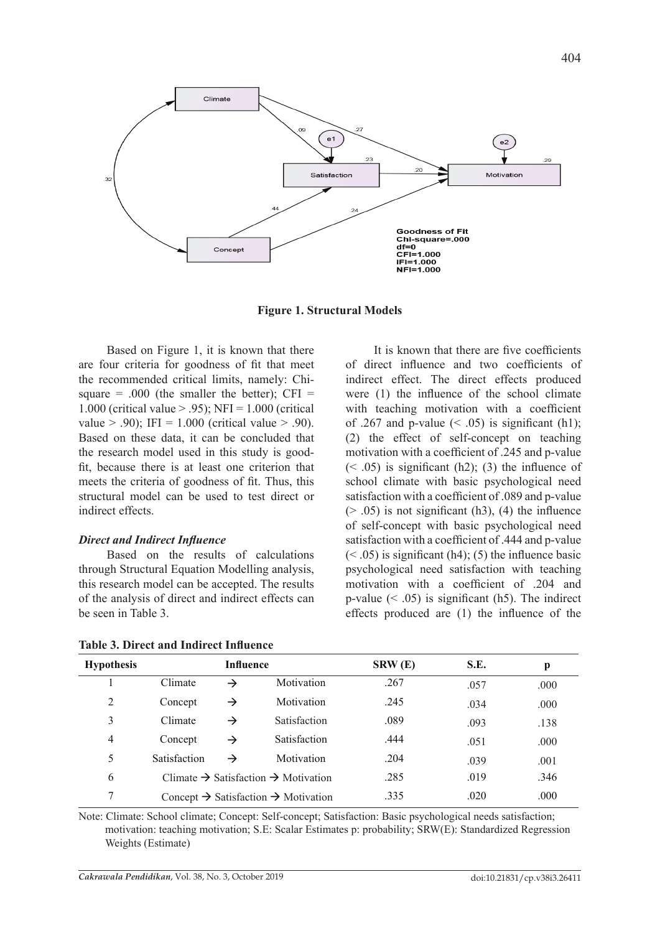

**Figure 1. Structural Models**

Based on Figure 1, it is known that there are four criteria for goodness of fit that meet the recommended critical limits, namely: Chisquare = .000 (the smaller the better);  $CFI =$ 1.000 (critical value  $> 0.95$ ); NFI = 1.000 (critical value  $> .90$ ); IFI = 1.000 (critical value  $> .90$ ). Based on these data, it can be concluded that the research model used in this study is goodfit, because there is at least one criterion that meets the criteria of goodness of fit. Thus, this structural model can be used to test direct or indirect effects.

#### *Direct and Indirect Influence*

Based on the results of calculations through Structural Equation Modelling analysis, this research model can be accepted. The results of the analysis of direct and indirect effects can be seen in Table 3.

**Table 3. Direct and Indirect Influence**

It is known that there are five coefficients of direct influence and two coefficients of indirect effect. The direct effects produced were (1) the influence of the school climate with teaching motivation with a coefficient of .267 and p-value  $(< .05)$  is significant (h1); (2) the effect of self-concept on teaching motivation with a coefficient of .245 and p-value  $(< .05)$  is significant (h2); (3) the influence of school climate with basic psychological need satisfaction with a coefficient of .089 and p-value  $(> .05)$  is not significant (h3), (4) the influence of self-concept with basic psychological need satisfaction with a coefficient of .444 and p-value  $(< .05)$  is significant (h4); (5) the influence basic psychological need satisfaction with teaching motivation with a coefficient of .204 and p-value  $(< .05)$  is significant (h5). The indirect effects produced are (1) the influence of the

| <b>Hypothesis</b> | <b>Influence</b>                                            |               | SRW(E)              | S.E. | p    |      |
|-------------------|-------------------------------------------------------------|---------------|---------------------|------|------|------|
|                   | Climate                                                     | →             | Motivation          | .267 | .057 | .000 |
| 2                 | Concept                                                     | →             | Motivation          | .245 | .034 | .000 |
| 3                 | Climate                                                     | $\rightarrow$ | <b>Satisfaction</b> | .089 | .093 | .138 |
| 4                 | Concept                                                     | →             | <b>Satisfaction</b> | .444 | .051 | .000 |
| 5                 | Satisfaction                                                | →             | Motivation          | .204 | .039 | .001 |
| 6                 | Climate $\rightarrow$ Satisfaction $\rightarrow$ Motivation |               |                     | .285 | .019 | .346 |
| 7                 | Concept $\rightarrow$ Satisfaction $\rightarrow$ Motivation |               |                     | .335 | .020 | .000 |

Note: Climate: School climate; Concept: Self-concept; Satisfaction: Basic psychological needs satisfaction; motivation: teaching motivation; S.E: Scalar Estimates p: probability; SRW(E): Standardized Regression Weights (Estimate)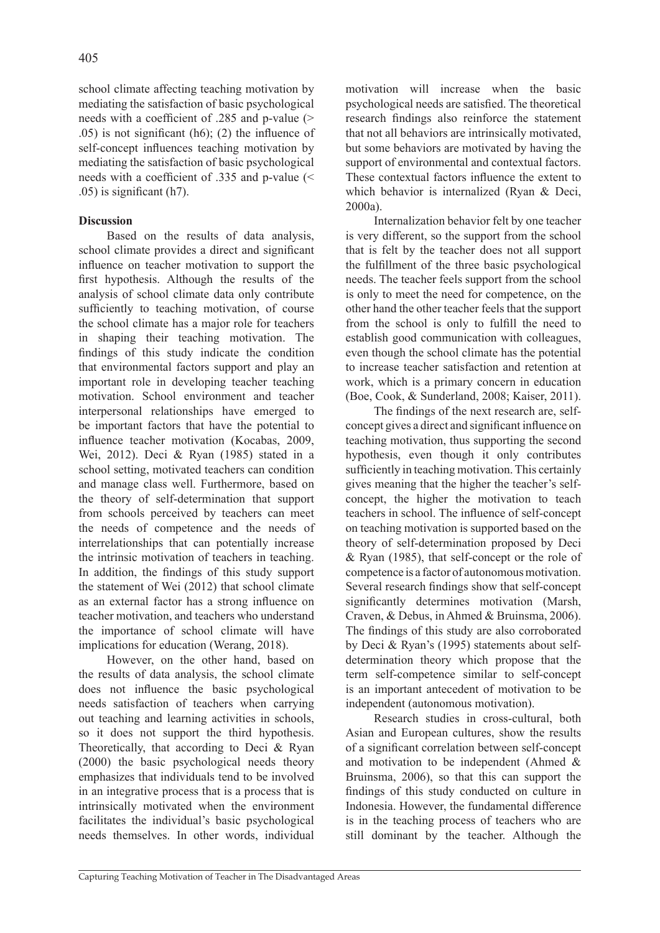school climate affecting teaching motivation by mediating the satisfaction of basic psychological needs with a coefficient of .285 and p-value (> .05) is not significant (h6); (2) the influence of self-concept influences teaching motivation by mediating the satisfaction of basic psychological needs with a coefficient of .335 and p-value (< .05) is significant (h7).

# **Discussion**

Based on the results of data analysis, school climate provides a direct and significant influence on teacher motivation to support the first hypothesis. Although the results of the analysis of school climate data only contribute sufficiently to teaching motivation, of course the school climate has a major role for teachers in shaping their teaching motivation. The findings of this study indicate the condition that environmental factors support and play an important role in developing teacher teaching motivation. School environment and teacher interpersonal relationships have emerged to be important factors that have the potential to influence teacher motivation (Kocabas, 2009, Wei, 2012). Deci & Ryan (1985) stated in a school setting, motivated teachers can condition and manage class well. Furthermore, based on the theory of self-determination that support from schools perceived by teachers can meet the needs of competence and the needs of interrelationships that can potentially increase the intrinsic motivation of teachers in teaching. In addition, the findings of this study support the statement of Wei (2012) that school climate as an external factor has a strong influence on teacher motivation, and teachers who understand the importance of school climate will have implications for education (Werang, 2018).

However, on the other hand, based on the results of data analysis, the school climate does not influence the basic psychological needs satisfaction of teachers when carrying out teaching and learning activities in schools, so it does not support the third hypothesis. Theoretically, that according to Deci & Ryan (2000) the basic psychological needs theory emphasizes that individuals tend to be involved in an integrative process that is a process that is intrinsically motivated when the environment facilitates the individual's basic psychological needs themselves. In other words, individual

motivation will increase when the basic psychological needs are satisfied. The theoretical research findings also reinforce the statement that not all behaviors are intrinsically motivated, but some behaviors are motivated by having the support of environmental and contextual factors. These contextual factors influence the extent to which behavior is internalized (Ryan & Deci, 2000a).

Internalization behavior felt by one teacher is very different, so the support from the school that is felt by the teacher does not all support the fulfillment of the three basic psychological needs. The teacher feels support from the school is only to meet the need for competence, on the other hand the other teacher feels that the support from the school is only to fulfill the need to establish good communication with colleagues, even though the school climate has the potential to increase teacher satisfaction and retention at work, which is a primary concern in education (Boe, Cook, & Sunderland, 2008; Kaiser, 2011).

The findings of the next research are, selfconcept gives a direct and significant influence on teaching motivation, thus supporting the second hypothesis, even though it only contributes sufficiently in teaching motivation. This certainly gives meaning that the higher the teacher's selfconcept, the higher the motivation to teach teachers in school. The influence of self-concept on teaching motivation is supported based on the theory of self-determination proposed by Deci & Ryan (1985), that self-concept or the role of competence is a factor of autonomous motivation. Several research findings show that self-concept significantly determines motivation (Marsh, Craven, & Debus, in Ahmed & Bruinsma, 2006). The findings of this study are also corroborated by Deci & Ryan's (1995) statements about selfdetermination theory which propose that the term self-competence similar to self-concept is an important antecedent of motivation to be independent (autonomous motivation).

Research studies in cross-cultural, both Asian and European cultures, show the results of a significant correlation between self-concept and motivation to be independent (Ahmed & Bruinsma, 2006), so that this can support the findings of this study conducted on culture in Indonesia. However, the fundamental difference is in the teaching process of teachers who are still dominant by the teacher. Although the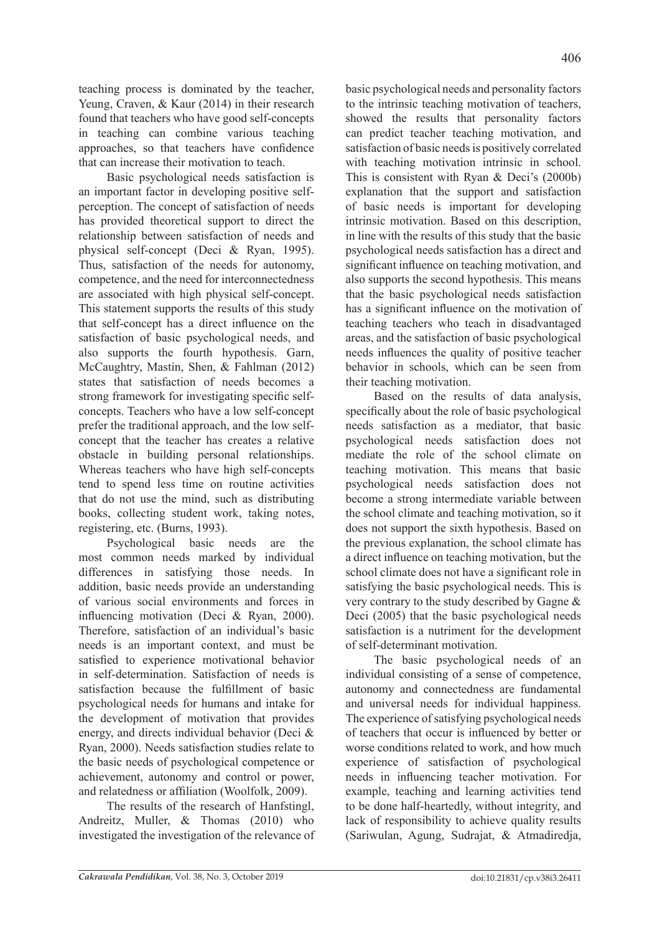teaching process is dominated by the teacher, Yeung, Craven, & Kaur (2014) in their research found that teachers who have good self-concepts in teaching can combine various teaching approaches, so that teachers have confidence that can increase their motivation to teach.

Basic psychological needs satisfaction is an important factor in developing positive selfperception. The concept of satisfaction of needs has provided theoretical support to direct the relationship between satisfaction of needs and physical self-concept (Deci & Ryan, 1995). Thus, satisfaction of the needs for autonomy, competence, and the need for interconnectedness are associated with high physical self-concept. This statement supports the results of this study that self-concept has a direct influence on the satisfaction of basic psychological needs, and also supports the fourth hypothesis. Garn, McCaughtry, Mastin, Shen, & Fahlman (2012) states that satisfaction of needs becomes a strong framework for investigating specific selfconcepts. Teachers who have a low self-concept prefer the traditional approach, and the low selfconcept that the teacher has creates a relative obstacle in building personal relationships. Whereas teachers who have high self-concepts tend to spend less time on routine activities that do not use the mind, such as distributing books, collecting student work, taking notes, registering, etc. (Burns, 1993).

Psychological basic needs are the most common needs marked by individual differences in satisfying those needs. In addition, basic needs provide an understanding of various social environments and forces in influencing motivation (Deci & Ryan, 2000). Therefore, satisfaction of an individual's basic needs is an important context, and must be satisfied to experience motivational behavior in self-determination. Satisfaction of needs is satisfaction because the fulfillment of basic psychological needs for humans and intake for the development of motivation that provides energy, and directs individual behavior (Deci & Ryan, 2000). Needs satisfaction studies relate to the basic needs of psychological competence or achievement, autonomy and control or power, and relatedness or affiliation (Woolfolk, 2009).

The results of the research of Hanfstingl, Andreitz, Muller, & Thomas (2010) who investigated the investigation of the relevance of basic psychological needs and personality factors to the intrinsic teaching motivation of teachers, showed the results that personality factors can predict teacher teaching motivation, and satisfaction of basic needs is positively correlated with teaching motivation intrinsic in school. This is consistent with Ryan & Deci's (2000b) explanation that the support and satisfaction of basic needs is important for developing intrinsic motivation. Based on this description, in line with the results of this study that the basic psychological needs satisfaction has a direct and significant influence on teaching motivation, and also supports the second hypothesis. This means that the basic psychological needs satisfaction has a significant influence on the motivation of teaching teachers who teach in disadvantaged areas, and the satisfaction of basic psychological needs influences the quality of positive teacher behavior in schools, which can be seen from their teaching motivation.

Based on the results of data analysis, specifically about the role of basic psychological needs satisfaction as a mediator, that basic psychological needs satisfaction does not mediate the role of the school climate on teaching motivation. This means that basic psychological needs satisfaction does not become a strong intermediate variable between the school climate and teaching motivation, so it does not support the sixth hypothesis. Based on the previous explanation, the school climate has a direct influence on teaching motivation, but the school climate does not have a significant role in satisfying the basic psychological needs. This is very contrary to the study described by Gagne & Deci (2005) that the basic psychological needs satisfaction is a nutriment for the development of self-determinant motivation.

The basic psychological needs of an individual consisting of a sense of competence, autonomy and connectedness are fundamental and universal needs for individual happiness. The experience of satisfying psychological needs of teachers that occur is influenced by better or worse conditions related to work, and how much experience of satisfaction of psychological needs in influencing teacher motivation. For example, teaching and learning activities tend to be done half-heartedly, without integrity, and lack of responsibility to achieve quality results (Sariwulan, Agung, Sudrajat, & Atmadiredja,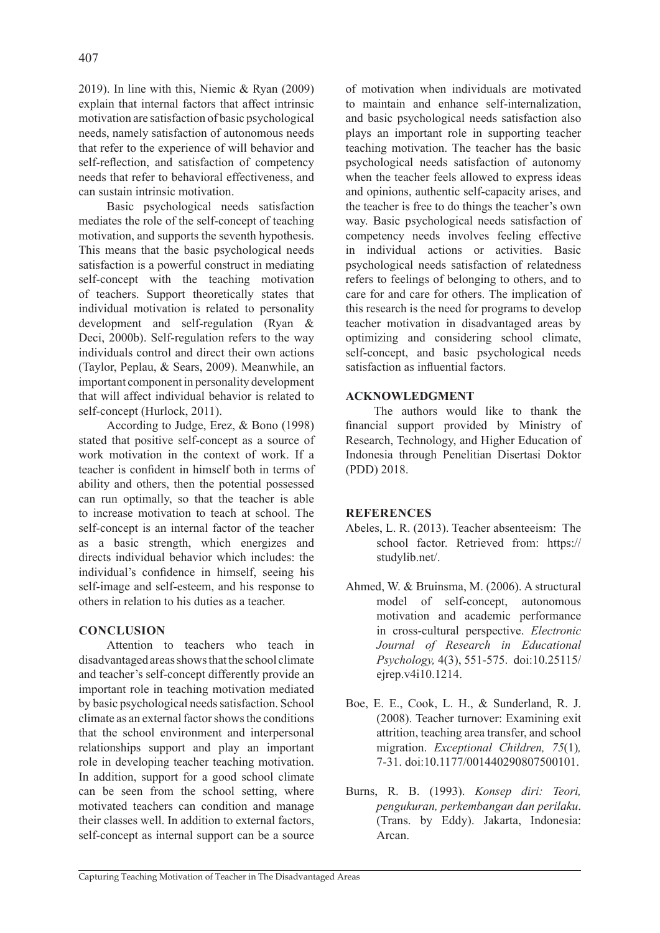2019). In line with this, Niemic & Ryan (2009) explain that internal factors that affect intrinsic motivation are satisfaction of basic psychological needs, namely satisfaction of autonomous needs that refer to the experience of will behavior and self-reflection, and satisfaction of competency needs that refer to behavioral effectiveness, and can sustain intrinsic motivation.

Basic psychological needs satisfaction mediates the role of the self-concept of teaching motivation, and supports the seventh hypothesis. This means that the basic psychological needs satisfaction is a powerful construct in mediating self-concept with the teaching motivation of teachers. Support theoretically states that individual motivation is related to personality development and self-regulation (Ryan & Deci, 2000b). Self-regulation refers to the way individuals control and direct their own actions (Taylor, Peplau, & Sears, 2009). Meanwhile, an important component in personality development that will affect individual behavior is related to self-concept (Hurlock, 2011).

According to Judge, Erez, & Bono (1998) stated that positive self-concept as a source of work motivation in the context of work. If a teacher is confident in himself both in terms of ability and others, then the potential possessed can run optimally, so that the teacher is able to increase motivation to teach at school. The self-concept is an internal factor of the teacher as a basic strength, which energizes and directs individual behavior which includes: the individual's confidence in himself, seeing his self-image and self-esteem, and his response to others in relation to his duties as a teacher.

# **CONCLUSION**

Attention to teachers who teach in disadvantaged areas shows that the school climate and teacher's self-concept differently provide an important role in teaching motivation mediated by basic psychological needs satisfaction. School climate as an external factor shows the conditions that the school environment and interpersonal relationships support and play an important role in developing teacher teaching motivation. In addition, support for a good school climate can be seen from the school setting, where motivated teachers can condition and manage their classes well. In addition to external factors, self-concept as internal support can be a source of motivation when individuals are motivated to maintain and enhance self-internalization, and basic psychological needs satisfaction also plays an important role in supporting teacher teaching motivation. The teacher has the basic psychological needs satisfaction of autonomy when the teacher feels allowed to express ideas and opinions, authentic self-capacity arises, and the teacher is free to do things the teacher's own way. Basic psychological needs satisfaction of competency needs involves feeling effective in individual actions or activities. Basic psychological needs satisfaction of relatedness refers to feelings of belonging to others, and to care for and care for others. The implication of this research is the need for programs to develop teacher motivation in disadvantaged areas by optimizing and considering school climate, self-concept, and basic psychological needs satisfaction as influential factors.

## **ACKNOWLEDGMENT**

The authors would like to thank the financial support provided by Ministry of Research, Technology, and Higher Education of Indonesia through Penelitian Disertasi Doktor (PDD) 2018.

### **REFERENCES**

- Abeles, L. R. (2013). Teacher absenteeism: The school factor*.* Retrieved from: https:// studylib.net/.
- Ahmed, W. & Bruinsma, M. (2006). A structural model of self-concept, autonomous motivation and academic performance in cross-cultural perspective. *Electronic Journal of Research in Educational Psychology,* 4(3), 551-575. doi:10.25115/ ejrep.v4i10.1214.
- Boe, E. E., Cook, L. H., & Sunderland, R. J. (2008). Teacher turnover: Examining exit attrition, teaching area transfer, and school migration. *Exceptional Children, 75*(1)*,* 7-31. doi:10.1177/001440290807500101.
- Burns, R. B. (1993). *Konsep diri: Teori, pengukuran, perkembangan dan perilaku*. (Trans. by Eddy). Jakarta, Indonesia: Arcan.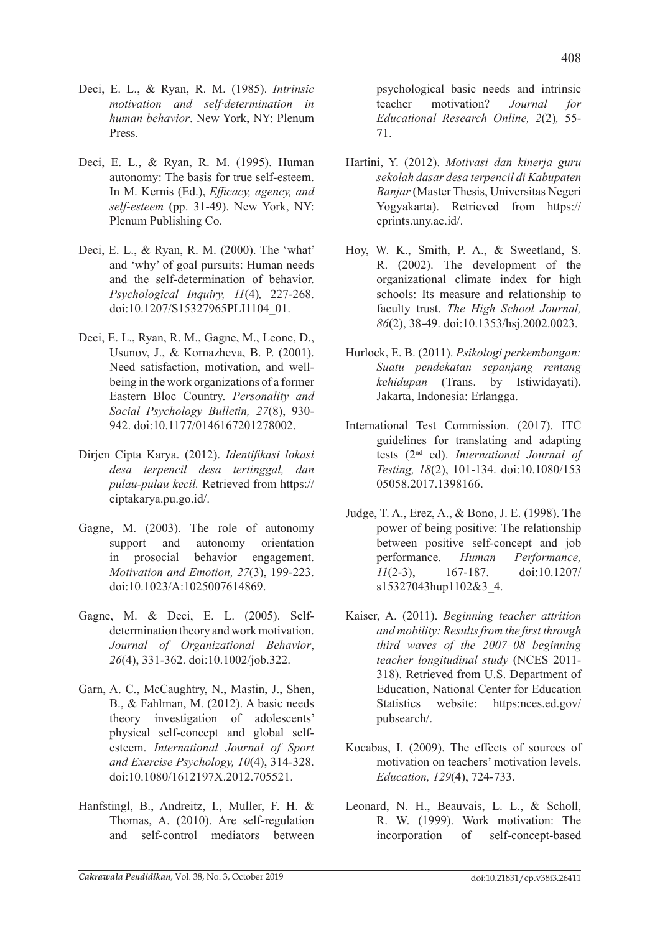- Deci, E. L., & Ryan, R. M. (1985). *Intrinsic motivation and self·determination in human behavior*. New York, NY: Plenum Press.
- Deci, E. L., & Ryan, R. M. (1995). Human autonomy: The basis for true self-esteem. In M. Kernis (Ed.), *Efficacy, agency, and self-esteem* (pp. 31-49). New York, NY: Plenum Publishing Co.
- Deci, E. L., & Ryan, R. M. (2000). The 'what' and 'why' of goal pursuits: Human needs and the self-determination of behavior. *Psychological Inquiry, 11*(4)*,* 227-268. doi:10.1207/S15327965PLI1104\_01.
- Deci, E. L., Ryan, R. M., Gagne, M., Leone, D., Usunov, J., & Kornazheva, B. P. (2001). Need satisfaction, motivation, and wellbeing in the work organizations of a former Eastern Bloc Country. *Personality and Social Psychology Bulletin, 27*(8), 930- 942. doi:10.1177/0146167201278002.
- Dirjen Cipta Karya. (2012). *Identifikasi lokasi desa terpencil desa tertinggal, dan pulau-pulau kecil.* Retrieved from https:// ciptakarya.pu.go.id/.
- Gagne, M. (2003). The role of autonomy support and autonomy orientation in prosocial behavior engagement. *Motivation and Emotion, 27*(3), 199-223. doi:10.1023/A:1025007614869.
- Gagne, M. & Deci, E. L. (2005). Selfdetermination theory and work motivation. *Journal of Organizational Behavior*, *26*(4), 331-362. doi:10.1002/job.322.
- Garn, A. C., McCaughtry, N., Mastin, J., Shen, B., & Fahlman, M. (2012). A basic needs theory investigation of adolescents' physical self-concept and global selfesteem. *International Journal of Sport and Exercise Psychology, 10*(4), 314-328. doi:10.1080/1612197X.2012.705521.
- Hanfstingl, B., Andreitz, I., Muller, F. H. & Thomas, A. (2010). Are self-regulation and self-control mediators between

psychological basic needs and intrinsic teacher motivation? *Journal for Educational Research Online, 2*(2)*,* 55- 71.

- Hartini, Y. (2012). *Motivasi dan kinerja guru sekolah dasar desa terpencil di Kabupaten Banjar* (Master Thesis, Universitas Negeri Yogyakarta). Retrieved from https:// eprints.uny.ac.id/.
- Hoy, W. K., Smith, P. A., & Sweetland, S. R. (2002). The development of the organizational climate index for high schools: Its measure and relationship to faculty trust. *The High School Journal, 86*(2), 38-49. doi:10.1353/hsj.2002.0023.
- Hurlock, E. B. (2011). *Psikologi perkembangan: Suatu pendekatan sepanjang rentang kehidupan* (Trans. by Istiwidayati). Jakarta, Indonesia: Erlangga.
- International Test Commission. (2017). ITC guidelines for translating and adapting tests (2nd ed). *International Journal of Testing, 18*(2), 101-134. doi:10.1080/153 05058.2017.1398166.
- Judge, T. A., Erez, A., & Bono, J. E. (1998). The power of being positive: The relationship between positive self-concept and job performance. *Human Performance, 11*(2-3), 167-187. doi:10.1207/ s15327043hup1102&3\_4.
- Kaiser, A. (2011). *Beginning teacher attrition and mobility: Results from the first through third waves of the 2007–08 beginning teacher longitudinal study* (NCES 2011- 318). Retrieved from U.S. Department of Education, National Center for Education Statistics website: https:nces.ed.gov/ pubsearch/.
- Kocabas, I. (2009). The effects of sources of motivation on teachers' motivation levels. *Education, 129*(4), 724-733.
- Leonard, N. H., Beauvais, L. L., & Scholl, R. W. (1999). Work motivation: The incorporation of self-concept-based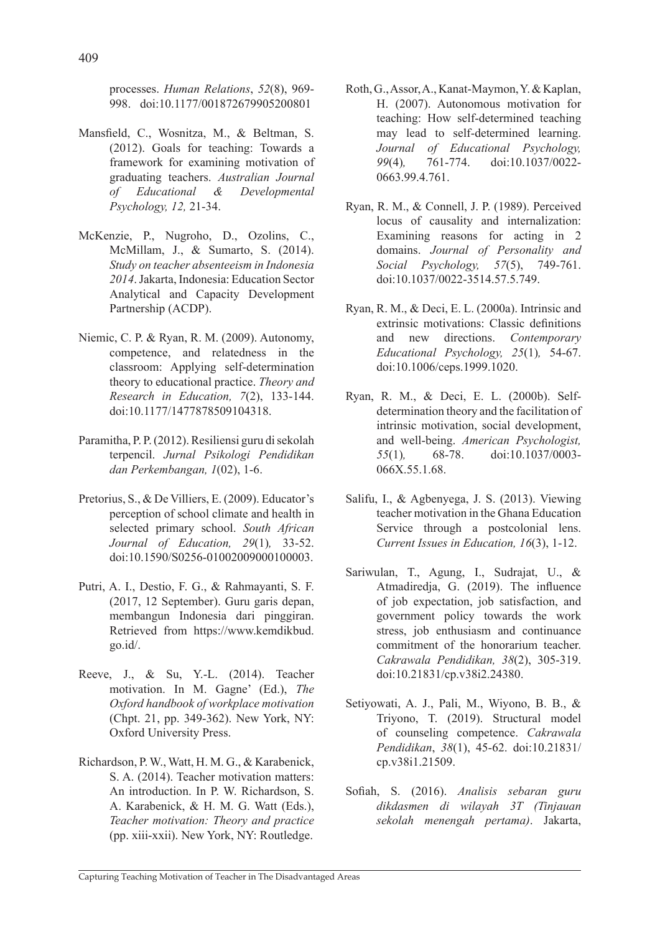processes. *Human Relations*, *52*(8), 969- 998. doi:10.1177/001872679905200801

- Mansfield, C., Wosnitza, M., & Beltman, S. (2012). Goals for teaching: Towards a framework for examining motivation of graduating teachers. *Australian Journal of Educational & Developmental Psychology, 12,* 21-34.
- McKenzie, P., Nugroho, D., Ozolins, C., McMillam, J., & Sumarto, S. (2014). *Study on teacher absenteeism in Indonesia 2014*. Jakarta, Indonesia: Education Sector Analytical and Capacity Development Partnership (ACDP).
- Niemic, C. P. & Ryan, R. M. (2009). Autonomy, competence, and relatedness in the classroom: Applying self-determination theory to educational practice. *Theory and Research in Education, 7*(2), 133-144. doi:10.1177/1477878509104318.
- Paramitha, P. P. (2012). Resiliensi guru di sekolah terpencil. *Jurnal Psikologi Pendidikan dan Perkembangan, 1*(02), 1-6.
- Pretorius, S., & De Villiers, E. (2009). Educator's perception of school climate and health in selected primary school. *South African Journal of Education, 29*(1)*,* 33-52. doi:10.1590/S0256-01002009000100003.
- Putri, A. I., Destio, F. G., & Rahmayanti, S. F. (2017, 12 September). Guru garis depan, membangun Indonesia dari pinggiran. Retrieved from https://www.kemdikbud. go.id/.
- Reeve, J., & Su, Y.-L. (2014). Teacher motivation. In M. Gagne' (Ed.), *The Oxford handbook of workplace motivation* (Chpt. 21, pp. 349-362). New York, NY: Oxford University Press.
- Richardson, P. W., Watt, H. M. G., & Karabenick, S. A. (2014). Teacher motivation matters: An introduction. In P. W. Richardson, S. A. Karabenick, & H. M. G. Watt (Eds.), *Teacher motivation: Theory and practice* (pp. xiii-xxii). New York, NY: Routledge.
- Roth, G., Assor, A., Kanat-Maymon, Y. & Kaplan, H. (2007). Autonomous motivation for teaching: How self-determined teaching may lead to self-determined learning. *Journal of Educational Psychology, 99*(4)*,* 761-774. doi:10.1037/0022- 0663.99.4.761.
- Ryan, R. M., & Connell, J. P. (1989). Perceived locus of causality and internalization: Examining reasons for acting in 2 domains. *Journal of Personality and Social Psychology, 57*(5), 749-761. doi:10.1037/0022-3514.57.5.749.
- Ryan, R. M., & Deci, E. L. (2000a). Intrinsic and extrinsic motivations: Classic definitions and new directions. *Contemporary Educational Psychology, 25*(1)*,* 54-67. doi:10.1006/ceps.1999.1020.
- Ryan, R. M., & Deci, E. L. (2000b). Selfdetermination theory and the facilitation of intrinsic motivation, social development, and well-being. *American Psychologist, 55*(1)*,* 68-78. doi:10.1037/0003- 066X.55.1.68.
- Salifu, I., & Agbenyega, J. S. (2013). Viewing teacher motivation in the Ghana Education Service through a postcolonial lens. *Current Issues in Education, 16*(3), 1-12.
- Sariwulan, T., Agung, I., Sudrajat, U., & Atmadiredja, G. (2019). The influence of job expectation, job satisfaction, and government policy towards the work stress, job enthusiasm and continuance commitment of the honorarium teacher. *Cakrawala Pendidikan, 38*(2), 305-319. doi:10.21831/cp.v38i2.24380.
- Setiyowati, A. J., Pali, M., Wiyono, B. B., & Triyono, T. (2019). Structural model of counseling competence. *Cakrawala Pendidikan*, *38*(1), 45-62. doi:10.21831/ cp.v38i1.21509.
- Sofiah, S. (2016). *Analisis sebaran guru dikdasmen di wilayah 3T (Tinjauan sekolah menengah pertama)*. Jakarta,